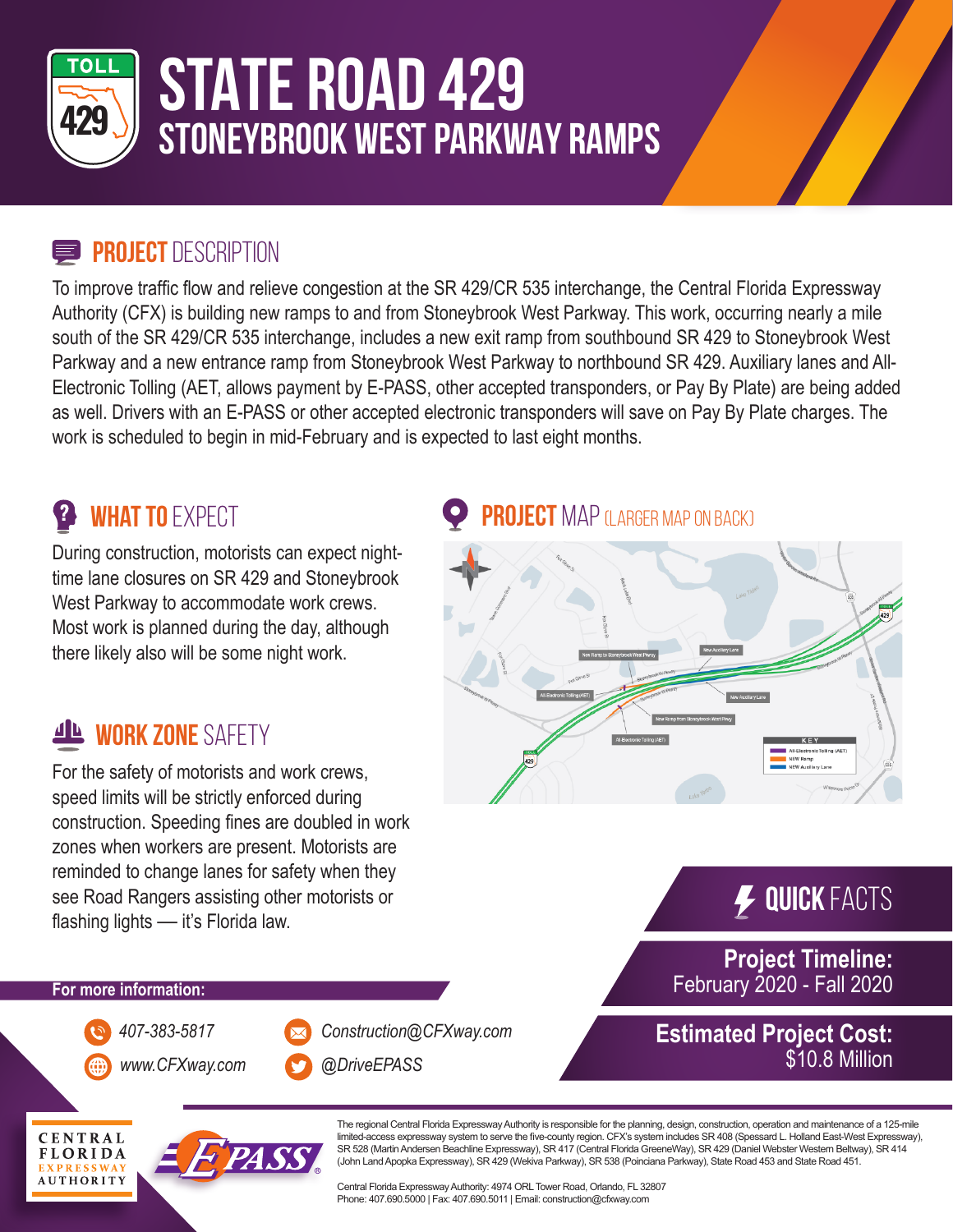

# **STATE ROAD 429 STONEYBROOK WEST PARKWAY RAMPS**

#### **PROJECT DESCRIPTION**

To improve traffic flow and relieve congestion at the SR 429/CR 535 interchange, the Central Florida Expressway Authority (CFX) is building new ramps to and from Stoneybrook West Parkway. This work, occurring nearly a mile south of the SR 429/CR 535 interchange, includes a new exit ramp from southbound SR 429 to Stoneybrook West Parkway and a new entrance ramp from Stoneybrook West Parkway to northbound SR 429. Auxiliary lanes and All-Electronic Tolling (AET, allows payment by E-PASS, other accepted transponders, or Pay By Plate) are being added as well. Drivers with an E-PASS or other accepted electronic transponders will save on Pay By Plate charges. The work is scheduled to begin in mid-February and is expected to last eight months.

### **<sup>2</sup>** WHAT TO EXPECT

During construction, motorists can expect nighttime lane closures on SR 429 and Stoneybrook West Parkway to accommodate work crews. Most work is planned during the day, although there likely also will be some night work.

### **WORK ZONE SAFETY**

For the safety of motorists and work crews, speed limits will be strictly enforced during construction. Speeding fines are doubled in work zones when workers are present. Motorists are reminded to change lanes for safety when they see Road Rangers assisting other motorists or flashing lights — it's Florida law.

### **PROJECT** MAP (LARGER MAP ON BACK)



**Quick** Facts

\$10.8 Million

**Project Timeline:** February 2020 - Fall 2020

**Estimated Project Cost:**

#### **For more information:**

*www.CFXway.com @DriveEPASS*

*407-383-5817 Construction@CFXway.com*



The regional Central Florida Expressway Authority is responsible for the planning, design, construction, operation and maintenance of a 125-mile limited-access expressway system to serve the five-county region. CFX's system includes SR 408 (Spessard L. Holland East-West Expressway), SR 528 (Martin Andersen Beachline Expressway), SR 417 (Central Florida GreeneWay), SR 429 (Daniel Webster Western Beltway), SR 414 (John Land Apopka Expressway), SR 429 (Wekiva Parkway), SR 538 (Poinciana Parkway), State Road 453 and State Road 451.

Central Florida Expressway Authority: 4974 ORL Tower Road, Orlando, FL 32807 Phone: 407.690.5000 | Fax: 407.690.5011 | Email: construction@cfxway.com